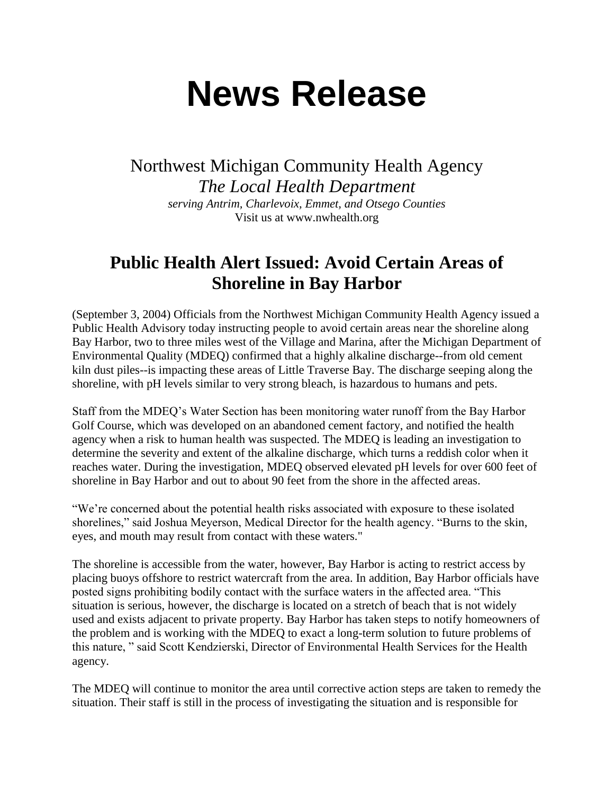## **News Release**

Northwest Michigan Community Health Agency *The Local Health Department serving Antrim, Charlevoix, Emmet, and Otsego Counties* Visit us at www.nwhealth.org

## **Public Health Alert Issued: Avoid Certain Areas of Shoreline in Bay Harbor**

(September 3, 2004) Officials from the Northwest Michigan Community Health Agency issued a Public Health Advisory today instructing people to avoid certain areas near the shoreline along Bay Harbor, two to three miles west of the Village and Marina, after the Michigan Department of Environmental Quality (MDEQ) confirmed that a highly alkaline discharge--from old cement kiln dust piles--is impacting these areas of Little Traverse Bay. The discharge seeping along the shoreline, with pH levels similar to very strong bleach, is hazardous to humans and pets.

Staff from the MDEQ's Water Section has been monitoring water runoff from the Bay Harbor Golf Course, which was developed on an abandoned cement factory, and notified the health agency when a risk to human health was suspected. The MDEQ is leading an investigation to determine the severity and extent of the alkaline discharge, which turns a reddish color when it reaches water. During the investigation, MDEQ observed elevated pH levels for over 600 feet of shoreline in Bay Harbor and out to about 90 feet from the shore in the affected areas.

"We're concerned about the potential health risks associated with exposure to these isolated shorelines," said Joshua Meyerson, Medical Director for the health agency. "Burns to the skin, eyes, and mouth may result from contact with these waters."

The shoreline is accessible from the water, however, Bay Harbor is acting to restrict access by placing buoys offshore to restrict watercraft from the area. In addition, Bay Harbor officials have posted signs prohibiting bodily contact with the surface waters in the affected area. "This situation is serious, however, the discharge is located on a stretch of beach that is not widely used and exists adjacent to private property. Bay Harbor has taken steps to notify homeowners of the problem and is working with the MDEQ to exact a long-term solution to future problems of this nature, " said Scott Kendzierski, Director of Environmental Health Services for the Health agency.

The MDEQ will continue to monitor the area until corrective action steps are taken to remedy the situation. Their staff is still in the process of investigating the situation and is responsible for